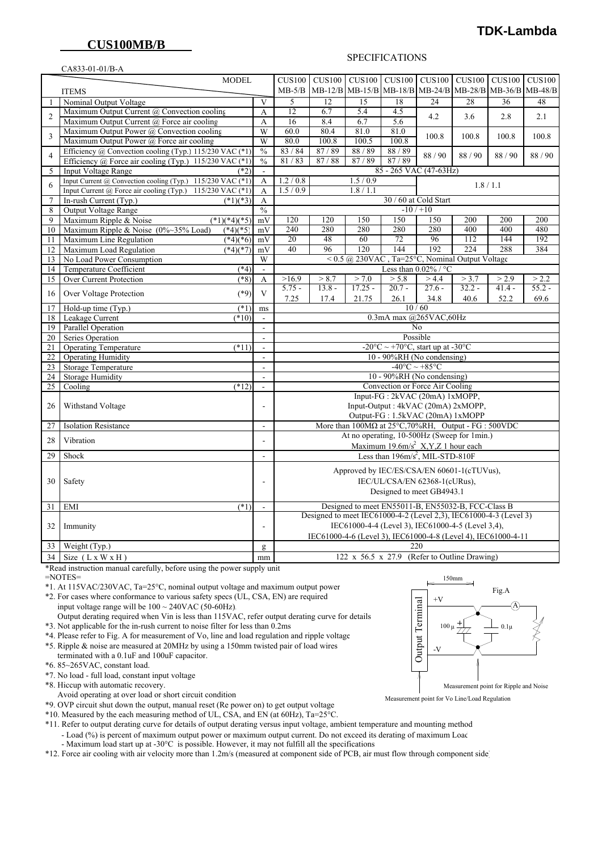## **CUS100MB/B**

CA833-01-01/B-A

#### SPECIFICATIONS

| <b>MODEL</b>   |                                                               |                          | CUS100                                                                                     | CUS100 CUS100 CUS100 |                                                                       |                   |                                                                                                | <b>CUS100 CUS100</b> | <b>CUS100</b>    | <b>CUS100</b>    |
|----------------|---------------------------------------------------------------|--------------------------|--------------------------------------------------------------------------------------------|----------------------|-----------------------------------------------------------------------|-------------------|------------------------------------------------------------------------------------------------|----------------------|------------------|------------------|
| <b>ITEMS</b>   |                                                               |                          | $MB-5/B$                                                                                   |                      | MB-12/B MB-15/B MB-18/B                                               |                   | MB-24/B MB-28/B                                                                                |                      | $MB-36/B$        | $MB-48/B$        |
| $\mathbf{1}$   | Nominal Output Voltage                                        | V                        | 5                                                                                          | 12                   | 15                                                                    | 18                | 24                                                                                             | 28                   | 36               | 48               |
| $\overline{2}$ | Maximum Output Current @ Convection cooling                   | A                        | $\overline{12}$                                                                            | 6.7                  | $\overline{5.4}$                                                      | 4.5               | 4.2                                                                                            | 3.6                  | 2.8              | 2.1              |
|                | Maximum Output Current @ Force air cooling                    |                          | 16                                                                                         | 8.4                  | 6.7                                                                   | 5.6               |                                                                                                |                      |                  |                  |
| 3              | Maximum Output Power @ Convection cooling                     | $\overline{W}$           | 60.0                                                                                       | 80.4                 | 81.0                                                                  | 81.0              | 100.8                                                                                          | 100.8                | 100.8            | 100.8            |
|                | Maximum Output Power @ Force air cooling                      | W                        | 80.0                                                                                       | 100.8                | 100.5                                                                 | 100.8             |                                                                                                |                      |                  |                  |
| 4              | Efficiency @ Convection cooling (Typ.) 115/230 VAC (*1)       | $\frac{0}{0}$            | 83/84                                                                                      | 87/89                | 88/89                                                                 | 88/89             | 88/90                                                                                          | 88/90                | 88/90            | 88/90            |
|                | Efficiency $\omega$ Force air cooling (Typ.) 115/230 VAC (*1) | $\frac{0}{0}$            | 81/83                                                                                      | 87/88                | 87/89                                                                 | 87/89             |                                                                                                |                      |                  |                  |
| 5              | <b>Input Voltage Range</b><br>(*2                             | $\Box$                   | 85 - 265 VAC (47-63Hz)                                                                     |                      |                                                                       |                   |                                                                                                |                      |                  |                  |
| 6              | Input Current @ Convection cooling (Typ.) 115/230 VAC (*1)    | A                        | 1.2 / 0.8                                                                                  |                      | 1.5/0.9                                                               |                   |                                                                                                | 1.8 / 1.1            |                  |                  |
|                | Input Current @ Force air cooling (Typ.) 115/230 VAC (*1)     | A                        | 1.5/0.9                                                                                    |                      | 1.8 / 1.1                                                             |                   |                                                                                                |                      |                  |                  |
| $\tau$         | In-rush Current (Typ.)<br>$(*1)(*3)$                          | А                        | 30 / 60 at Cold Start                                                                      |                      |                                                                       |                   |                                                                                                |                      |                  |                  |
| 8              | Output Voltage Range                                          | $\frac{0}{0}$            | $-10/110$                                                                                  |                      |                                                                       |                   |                                                                                                |                      |                  |                  |
| 9              | Maximum Ripple & Noise<br>$(*1)(*4)(*5)$                      | mV                       | 120                                                                                        | 120                  | 150                                                                   | 150               | 150                                                                                            | 200                  | 200              | 200              |
| 10             | $(*4)(*5)$<br>Maximum Ripple & Noise (0%~35% Load)            | mV                       | 240                                                                                        | 280                  | 280                                                                   | 280               | 280                                                                                            | 400                  | 400              | 480              |
| 11             | Maximum Line Regulation<br>$\sqrt{49}$ (*6)                   | mV                       | 20                                                                                         | 48                   | 60                                                                    | 72                | 96                                                                                             | 112                  | 144              | 192              |
| 12             | Maximum Load Regulation<br>$(*4)(*7)$                         | mV                       | 40                                                                                         | 96                   | 120                                                                   | 144               | 192                                                                                            | 224                  | 288              | 384              |
| 13             | No Load Power Consumption                                     | W                        |                                                                                            |                      | $\leq$ 0.5 @ 230VAC, Ta=25°C, Nominal Output Voltage                  |                   |                                                                                                |                      |                  |                  |
| 14             | Temperature Coefficient<br>$(*4)$                             | ä,                       |                                                                                            |                      |                                                                       |                   | Less than $0.02\%$ / °C                                                                        |                      |                  |                  |
| 15             | Over Current Protection<br>$(*8)$                             | A                        | >16.9                                                                                      | > 8.7                | > 7.0                                                                 | > 5.8<br>$20.7 -$ | > 4.4<br>$27.6 -$                                                                              | > 3.7                | > 2.9            | > 2.2            |
| 16             | $(*9)$<br>Over Voltage Protection                             | $\overline{\mathbf{V}}$  | $5.75 -$<br>7.25                                                                           | $13.8 -$<br>17.4     | $17.25 -$<br>21.75                                                    | 26.1              | 34.8                                                                                           | $32.2 -$<br>40.6     | $41.4 -$<br>52.2 | $55.2 -$<br>69.6 |
| 17             | $(*1)$<br>Hold-up time (Typ.)                                 | ms                       |                                                                                            |                      |                                                                       |                   | 10/60                                                                                          |                      |                  |                  |
| 18             | Leakage Current<br>$(*10)$                                    | $\overline{\phantom{a}}$ |                                                                                            |                      |                                                                       |                   | 0.3mA max @265VAC,60Hz                                                                         |                      |                  |                  |
| 19             | Parallel Operation                                            | $\overline{a}$           |                                                                                            |                      |                                                                       |                   | N <sub>0</sub>                                                                                 |                      |                  |                  |
| 20             | Series Operation                                              | $\overline{a}$           |                                                                                            |                      |                                                                       |                   | Possible                                                                                       |                      |                  |                  |
| 21             | (11)<br><b>Operating Temperature</b>                          | $\overline{a}$           | -20 $\mathrm{^{\circ}C} \sim +70\mathrm{^{\circ}C}$ , start up at -30 $\mathrm{^{\circ}C}$ |                      |                                                                       |                   |                                                                                                |                      |                  |                  |
| 22             | <b>Operating Humidity</b>                                     | $\overline{a}$           |                                                                                            |                      |                                                                       |                   | 10 - 90%RH (No condensing)                                                                     |                      |                  |                  |
| 23             | <b>Storage Temperature</b>                                    | $\overline{\phantom{a}}$ |                                                                                            |                      |                                                                       |                   | $-40^{\circ}$ C ~ +85 $^{\circ}$ C                                                             |                      |                  |                  |
| 24             | <b>Storage Humidity</b>                                       | $\overline{a}$           |                                                                                            |                      |                                                                       |                   | 10 - 90%RH (No condensing)                                                                     |                      |                  |                  |
| 25             | Cooling<br>$(*12)$                                            | L.                       |                                                                                            |                      |                                                                       |                   | Convection or Force Air Cooling                                                                |                      |                  |                  |
|                |                                                               | $\overline{\phantom{a}}$ | Input-FG: 2kVAC (20mA) 1xMOPP,                                                             |                      |                                                                       |                   |                                                                                                |                      |                  |                  |
| 26             | Withstand Voltage                                             |                          | Input-Output: 4kVAC (20mA) 2xMOPP,<br>Output-FG: 1.5kVAC (20mA) 1xMOPP                     |                      |                                                                       |                   |                                                                                                |                      |                  |                  |
|                |                                                               |                          |                                                                                            |                      |                                                                       |                   |                                                                                                |                      |                  |                  |
| 27             | <b>Isolation Resistance</b>                                   | $\overline{\phantom{a}}$ |                                                                                            |                      | More than $100M\Omega$ at $25^{\circ}$ C, 70%RH, Output - FG : 500VDC |                   |                                                                                                |                      |                  |                  |
| 28             | Vibration                                                     | $\overline{\phantom{a}}$ |                                                                                            |                      | At no operating, 10-500Hz (Sweep for 1min.)                           |                   |                                                                                                |                      |                  |                  |
| 29             | Shock                                                         | $\blacksquare$           |                                                                                            |                      |                                                                       |                   | Maximum 19.6m/s <sup>2</sup> X,Y,Z 1 hour each<br>Less than 196m/s <sup>2</sup> , MIL-STD-810F |                      |                  |                  |
|                |                                                               |                          |                                                                                            |                      |                                                                       |                   |                                                                                                |                      |                  |                  |
|                | Safety                                                        |                          | Approved by IEC/ES/CSA/EN 60601-1(cTUVus),                                                 |                      |                                                                       |                   |                                                                                                |                      |                  |                  |
| 30             |                                                               |                          | IEC/UL/CSA/EN 62368-1(cURus),                                                              |                      |                                                                       |                   |                                                                                                |                      |                  |                  |
|                |                                                               |                          |                                                                                            |                      |                                                                       |                   | Designed to meet GB4943.1                                                                      |                      |                  |                  |
| 31             | <b>EMI</b><br>$(*1)$                                          | L.                       |                                                                                            |                      | Designed to meet EN55011-B, EN55032-B, FCC-Class B                    |                   |                                                                                                |                      |                  |                  |
| 32             |                                                               |                          | Designed to meet IEC61000-4-2 (Level 2,3), IEC61000-4-3 (Level 3)                          |                      |                                                                       |                   |                                                                                                |                      |                  |                  |
|                | Immunity                                                      |                          | IEC61000-4-4 (Level 3), IEC61000-4-5 (Level 3,4),                                          |                      |                                                                       |                   |                                                                                                |                      |                  |                  |
|                |                                                               |                          | IEC61000-4-6 (Level 3), IEC61000-4-8 (Level 4), IEC61000-4-11                              |                      |                                                                       |                   |                                                                                                |                      |                  |                  |
| 33             | Weight (Typ.)                                                 | g                        |                                                                                            |                      |                                                                       |                   | 220                                                                                            |                      |                  |                  |
| 34             | Size $(L x W x H)$                                            | mm                       |                                                                                            |                      | 122 x 56.5 x 27.9 (Refer to Outline Drawing)                          |                   |                                                                                                |                      |                  |                  |

\*Read instruction manual carefully, before using the power supply unit

 $=$ NOTES $=$ 

\*1. At 115VAC/230VAC, Ta=25°C, nominal output voltage and maximum output power

 \*2. For cases where conformance to various safety specs (UL, CSA, EN) are required input voltage range will be  $100 \sim 240$ VAC (50-60Hz). Output derating required when Vin is less than 115VAC, refer output derating curve for details

\*3. Not applicable for the in-rush current to noise filter for less than 0.2ms

 \*4. Please refer to Fig. A for measurement of Vo, line and load regulation and ripple voltage \*5. Ripple & noise are measured at 20MHz by using a 150mm twisted pair of load wires

terminated with a 0.1uF and 100uF capacitor.

\*6. 85~265VAC, constant load.

\*7. No load - full load, constant input voltage

\*8. Hiccup with automatic recovery.

Avoid operating at over load or short circuit condition

\*9. OVP circuit shut down the output, manual reset (Re power on) to get output voltage

\*10. Measured by the each measuring method of UL, CSA, and EN (at 60Hz),  $Ta=25^{\circ}C$ .

 \*11. Refer to output derating curve for details of output derating versus input voltage, ambient temperature and mounting method - Load (%) is percent of maximum output power or maximum output current. Do not exceed its derating of maximum Load - Maximum load start up at -30°C is possible. However, it may not fulfill all the specifications

\*12. Force air cooling with air velocity more than 1.2m/s (measured at component side of PCB, air must flow through component side)



Measurement point for Vo Line/Load Regulation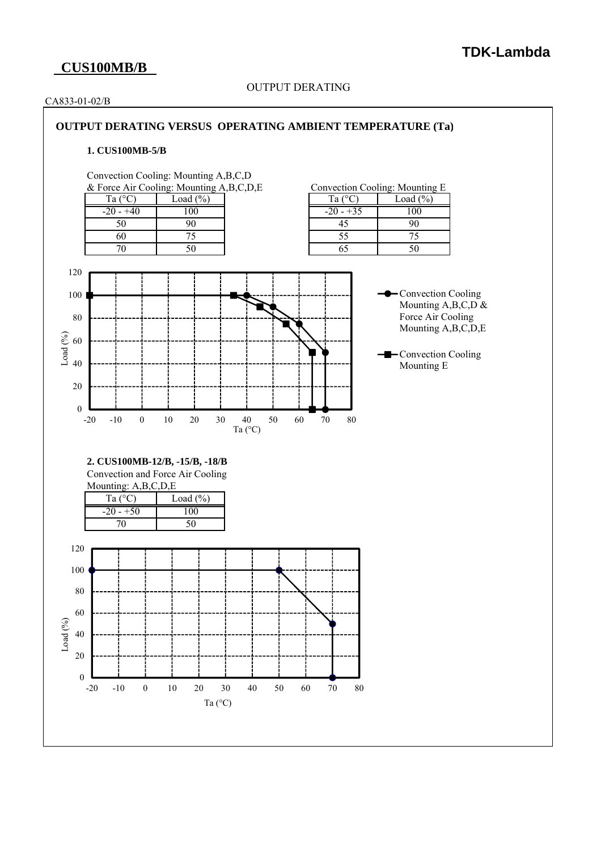# **CUS100MB/B**

### OUTPUT DERATING

#### CA833-01-02/B

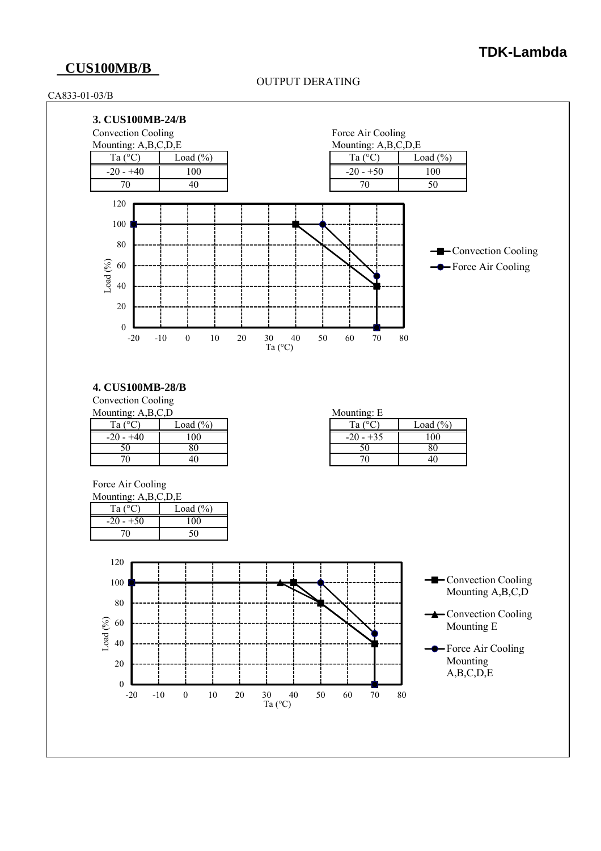## **CUS100MB/B**

#### OUTPUT DERATING

#### CA833-01-03/B



### **4. CUS100MB-28/B**

Convection Cooling Mounting:  $A$ ,  $B$ ,  $C$ ,  $D$ 

| $m$ vivunting, $A, D, C, D$ |              | $m0$ willing. $E$ |      |  |  |
|-----------------------------|--------------|-------------------|------|--|--|
| $\sqrt{2}$<br>Ta            | Load $(\% )$ | $T_{9}$ .         | Load |  |  |
| $-20 - +40$                 | 00           | $-20 - +35$       | 100  |  |  |
| υc                          | οv           | υc                | 80   |  |  |
|                             | 40           |                   | 40   |  |  |

| inting: A,B,C,D | $D \cap D$           | Mounting: E |             |              |  |
|-----------------|----------------------|-------------|-------------|--------------|--|
| $\sim$<br>Тa    | $\text{Load } (\% )$ |             | .00<br>Ta   | Load $(\% )$ |  |
| 20              | UU                   |             | $-20 - +35$ | $00\,$       |  |
|                 |                      |             | υU          | ου           |  |
| 70              |                      |             |             | 46           |  |

Force Air Cooling

| Mounting: $A, B, C, D, E$ |              |  |  |  |
|---------------------------|--------------|--|--|--|
| Ta $(^{\circ}C)$          | Load $(\% )$ |  |  |  |
| $-20 - +50$               | 100          |  |  |  |
|                           |              |  |  |  |

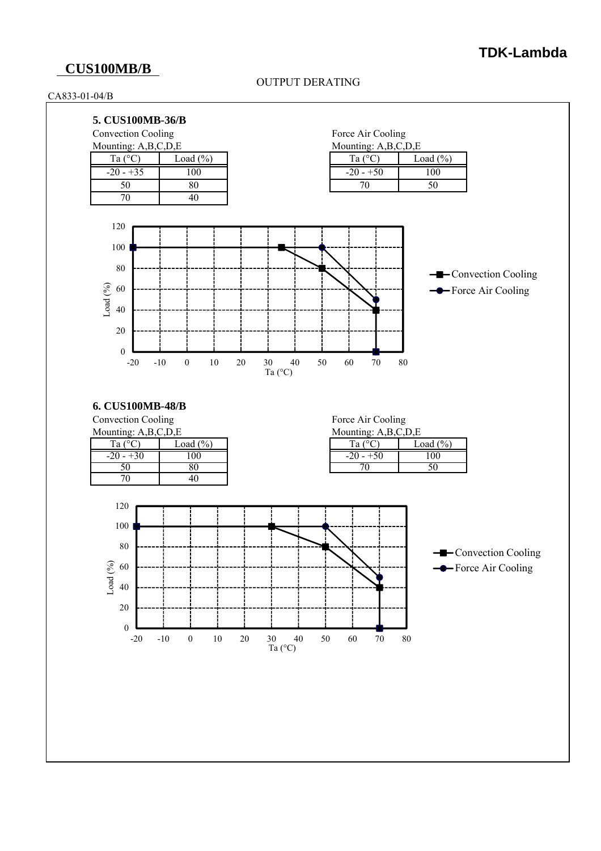# **CUS100MB/B**

### OUTPUT DERATING